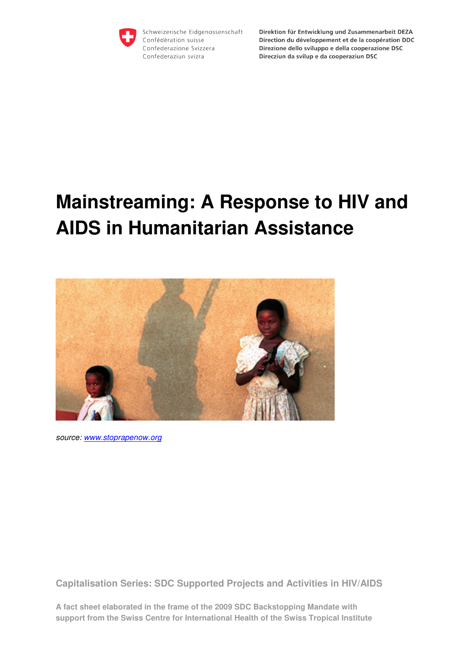

Schweizerische Eidgenossenschaft Confédération suisse Confederazione Svizzera Confederaziun svizra

Direktion für Entwicklung und Zusammenarbeit DEZA Direction du développement et de la coopération DDC Direzione dello sviluppo e della cooperazione DSC Direcziun da svilup e da cooperaziun DSC

# **Mainstreaming: A Response to HIV and AIDS in Humanitarian Assistance**



*source: www.stoprapenow.org*

**Capitalisation Series: SDC Supported Projects and Activities in HIV/AIDS** 

**A fact sheet elaborated in the frame of the 2009 SDC Backstopping Mandate with support from the Swiss Centre for International Health of the Swiss Tropical Institute**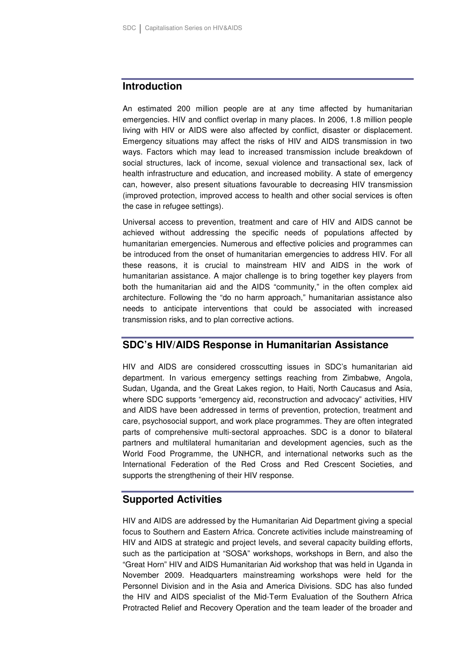#### **Introduction**

An estimated 200 million people are at any time affected by humanitarian emergencies. HIV and conflict overlap in many places. In 2006, 1.8 million people living with HIV or AIDS were also affected by conflict, disaster or displacement. Emergency situations may affect the risks of HIV and AIDS transmission in two ways. Factors which may lead to increased transmission include breakdown of social structures, lack of income, sexual violence and transactional sex, lack of health infrastructure and education, and increased mobility. A state of emergency can, however, also present situations favourable to decreasing HIV transmission (improved protection, improved access to health and other social services is often the case in refugee settings).

Universal access to prevention, treatment and care of HIV and AIDS cannot be achieved without addressing the specific needs of populations affected by humanitarian emergencies. Numerous and effective policies and programmes can be introduced from the onset of humanitarian emergencies to address HIV. For all these reasons, it is crucial to mainstream HIV and AIDS in the work of humanitarian assistance. A major challenge is to bring together key players from both the humanitarian aid and the AIDS "community," in the often complex aid architecture. Following the "do no harm approach," humanitarian assistance also needs to anticipate interventions that could be associated with increased transmission risks, and to plan corrective actions.

#### **SDC's HIV/AIDS Response in Humanitarian Assistance**

HIV and AIDS are considered crosscutting issues in SDC's humanitarian aid department. In various emergency settings reaching from Zimbabwe, Angola, Sudan, Uganda, and the Great Lakes region, to Haiti, North Caucasus and Asia, where SDC supports "emergency aid, reconstruction and advocacy" activities, HIV and AIDS have been addressed in terms of prevention, protection, treatment and care, psychosocial support, and work place programmes. They are often integrated parts of comprehensive multi-sectoral approaches. SDC is a donor to bilateral partners and multilateral humanitarian and development agencies, such as the World Food Programme, the UNHCR, and international networks such as the International Federation of the Red Cross and Red Crescent Societies, and supports the strengthening of their HIV response.

#### **Supported Activities**

HIV and AIDS are addressed by the Humanitarian Aid Department giving a special focus to Southern and Eastern Africa. Concrete activities include mainstreaming of HIV and AIDS at strategic and project levels, and several capacity building efforts, such as the participation at "SOSA" workshops, workshops in Bern, and also the "Great Horn" HIV and AIDS Humanitarian Aid workshop that was held in Uganda in November 2009. Headquarters mainstreaming workshops were held for the Personnel Division and in the Asia and America Divisions. SDC has also funded the HIV and AIDS specialist of the Mid-Term Evaluation of the Southern Africa Protracted Relief and Recovery Operation and the team leader of the broader and